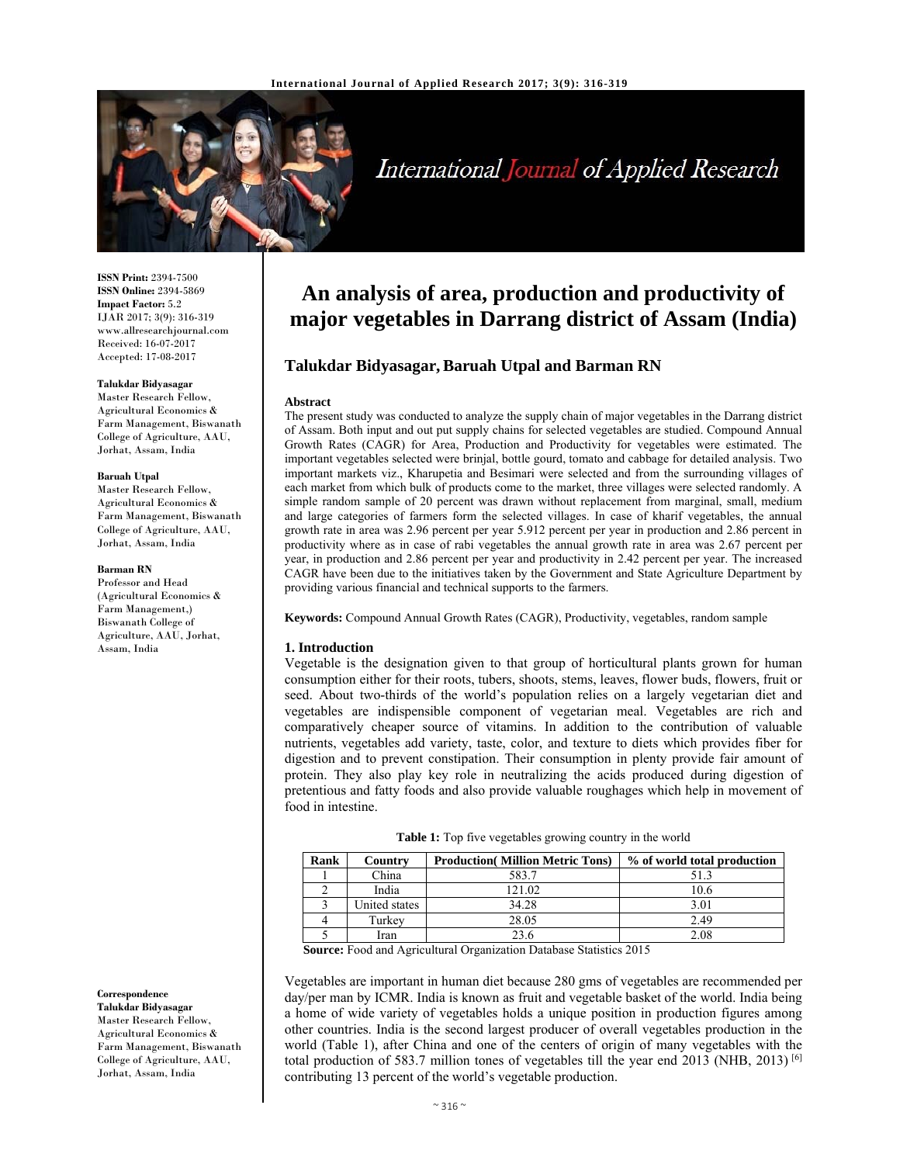

# International Journal of Applied Research

**ISSN Print:** 2394-7500 **ISSN Online:** 2394-5869 **Impact Factor:** 5.2 IJAR 2017; 3(9): 316-319 www.allresearchjournal.com Received: 16-07-2017 Accepted: 17-08-2017

#### **Talukdar Bidyasagar**

Master Research Fellow, Agricultural Economics & Farm Management, Biswanath College of Agriculture, AAU, Jorhat, Assam, India

#### **Baruah Utpal**

Master Research Fellow, Agricultural Economics & Farm Management, Biswanath College of Agriculture, AAU, Jorhat, Assam, India

#### **Barman RN**

Professor and Head (Agricultural Economics & Farm Management,) Biswanath College of Agriculture, AAU, Jorhat, Assam, India

## **Correspondence**

**Talukdar Bidyasagar**  Master Research Fellow, Agricultural Economics & Farm Management, Biswanath College of Agriculture, AAU, Jorhat, Assam, India

# **An analysis of area, production and productivity of major vegetables in Darrang district of Assam (India)**

### **Talukdar Bidyasagar, Baruah Utpal and Barman RN**

#### **Abstract**

The present study was conducted to analyze the supply chain of major vegetables in the Darrang district of Assam. Both input and out put supply chains for selected vegetables are studied. Compound Annual Growth Rates (CAGR) for Area, Production and Productivity for vegetables were estimated. The important vegetables selected were brinjal, bottle gourd, tomato and cabbage for detailed analysis. Two important markets viz., Kharupetia and Besimari were selected and from the surrounding villages of each market from which bulk of products come to the market, three villages were selected randomly. A simple random sample of 20 percent was drawn without replacement from marginal, small, medium and large categories of farmers form the selected villages. In case of kharif vegetables, the annual growth rate in area was 2.96 percent per year 5.912 percent per year in production and 2.86 percent in productivity where as in case of rabi vegetables the annual growth rate in area was 2.67 percent per year, in production and 2.86 percent per year and productivity in 2.42 percent per year. The increased CAGR have been due to the initiatives taken by the Government and State Agriculture Department by providing various financial and technical supports to the farmers.

**Keywords:** Compound Annual Growth Rates (CAGR), Productivity, vegetables, random sample

#### **1. Introduction**

Vegetable is the designation given to that group of horticultural plants grown for human consumption either for their roots, tubers, shoots, stems, leaves, flower buds, flowers, fruit or seed. About two-thirds of the world's population relies on a largely vegetarian diet and vegetables are indispensible component of vegetarian meal. Vegetables are rich and comparatively cheaper source of vitamins. In addition to the contribution of valuable nutrients, vegetables add variety, taste, color, and texture to diets which provides fiber for digestion and to prevent constipation. Their consumption in plenty provide fair amount of protein. They also play key role in neutralizing the acids produced during digestion of pretentious and fatty foods and also provide valuable roughages which help in movement of food in intestine.

| <b>Table 1:</b> Top five vegetables growing country in the world |
|------------------------------------------------------------------|
|------------------------------------------------------------------|

| Rank | Country       | <b>Production</b> (Million Metric Tons) | % of world total production |
|------|---------------|-----------------------------------------|-----------------------------|
|      | China         | 583.7                                   | 51.3                        |
|      | India         | 121.02                                  | 10.6                        |
|      | United states | 34.28                                   | 3.01                        |
|      | Turkev        | 28.05                                   | 2.49                        |
|      | Iran          | 23.6                                    | 2.08                        |

**Source:** Food and Agricultural Organization Database Statistics 2015

Vegetables are important in human diet because 280 gms of vegetables are recommended per day/per man by ICMR. India is known as fruit and vegetable basket of the world. India being a home of wide variety of vegetables holds a unique position in production figures among other countries. India is the second largest producer of overall vegetables production in the world (Table 1), after China and one of the centers of origin of many vegetables with the total production of 583.7 million tones of vegetables till the year end 2013 (NHB, 2013) [6] contributing 13 percent of the world's vegetable production.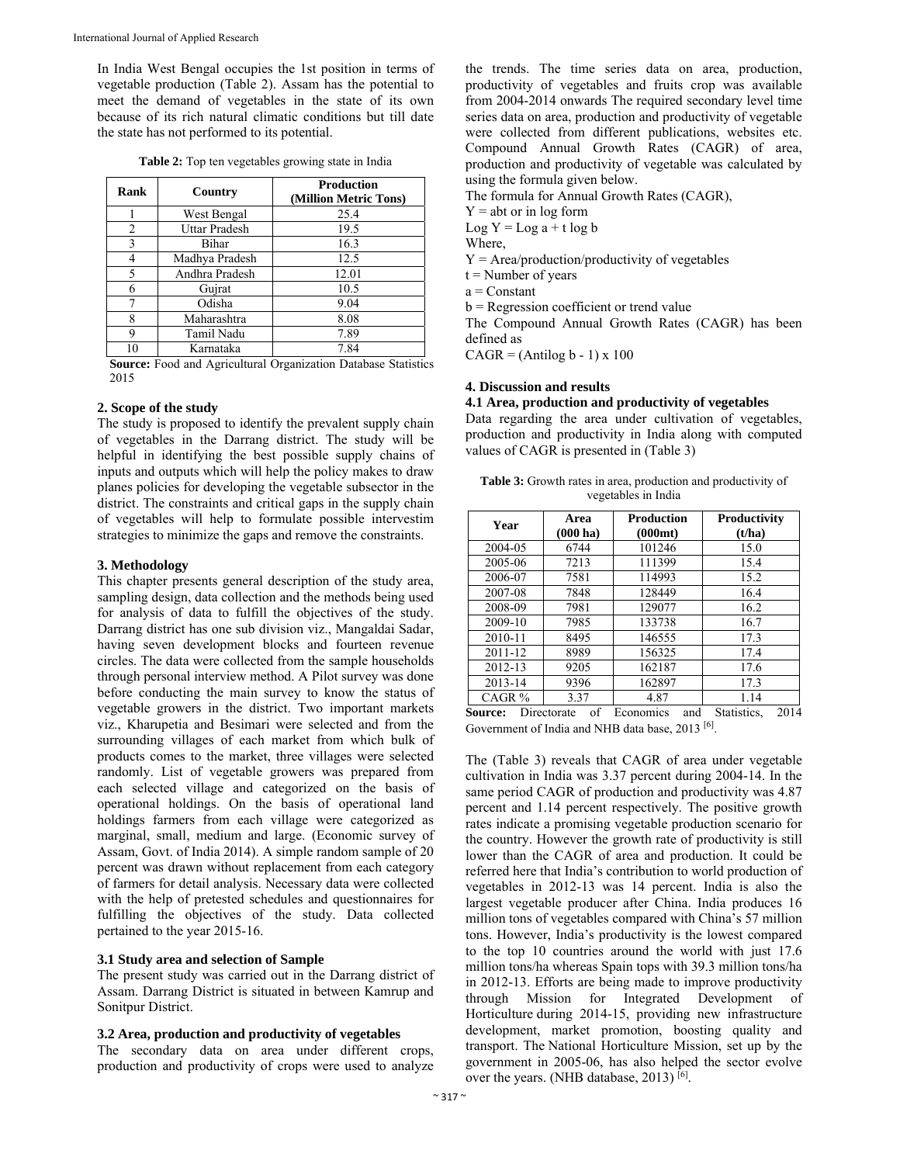In India West Bengal occupies the 1st position in terms of vegetable production (Table 2). Assam has the potential to meet the demand of vegetables in the state of its own because of its rich natural climatic conditions but till date the state has not performed to its potential.

| Table 2: Top ten vegetables growing state in India |  |  |
|----------------------------------------------------|--|--|
|----------------------------------------------------|--|--|

| Rank           | Country        | <b>Production</b><br>(Million Metric Tons) |  |  |
|----------------|----------------|--------------------------------------------|--|--|
|                | West Bengal    | 25.4                                       |  |  |
| $\overline{2}$ | Uttar Pradesh  | 19.5                                       |  |  |
| 3              | Bihar          | 16.3                                       |  |  |
| 4              | Madhya Pradesh | 12.5                                       |  |  |
| 5              | Andhra Pradesh | 12.01                                      |  |  |
| 6              | Gujrat         | 10.5                                       |  |  |
| 7              | Odisha         | 9.04                                       |  |  |
| 8              | Maharashtra    | 8.08                                       |  |  |
| 9              | Tamil Nadu     | 7.89                                       |  |  |
| 10             | Karnataka      | 7.84                                       |  |  |

**Source:** Food and Agricultural Organization Database Statistics 2015

#### **2. Scope of the study**

The study is proposed to identify the prevalent supply chain of vegetables in the Darrang district. The study will be helpful in identifying the best possible supply chains of inputs and outputs which will help the policy makes to draw planes policies for developing the vegetable subsector in the district. The constraints and critical gaps in the supply chain of vegetables will help to formulate possible intervestim strategies to minimize the gaps and remove the constraints.

#### **3. Methodology**

This chapter presents general description of the study area, sampling design, data collection and the methods being used for analysis of data to fulfill the objectives of the study. Darrang district has one sub division viz., Mangaldai Sadar, having seven development blocks and fourteen revenue circles. The data were collected from the sample households through personal interview method. A Pilot survey was done before conducting the main survey to know the status of vegetable growers in the district. Two important markets viz., Kharupetia and Besimari were selected and from the surrounding villages of each market from which bulk of products comes to the market, three villages were selected randomly. List of vegetable growers was prepared from each selected village and categorized on the basis of operational holdings. On the basis of operational land holdings farmers from each village were categorized as marginal, small, medium and large. (Economic survey of Assam, Govt. of India 2014). A simple random sample of 20 percent was drawn without replacement from each category of farmers for detail analysis. Necessary data were collected with the help of pretested schedules and questionnaires for fulfilling the objectives of the study. Data collected pertained to the year 2015-16.

#### **3.1 Study area and selection of Sample**

The present study was carried out in the Darrang district of Assam. Darrang District is situated in between Kamrup and Sonitpur District.

#### **3.2 Area, production and productivity of vegetables**

The secondary data on area under different crops, production and productivity of crops were used to analyze

the trends. The time series data on area, production, productivity of vegetables and fruits crop was available from 2004-2014 onwards The required secondary level time series data on area, production and productivity of vegetable were collected from different publications, websites etc. Compound Annual Growth Rates (CAGR) of area, production and productivity of vegetable was calculated by using the formula given below.

The formula for Annual Growth Rates (CAGR),

 $Y = abt$  or in log form

Log  $Y = Log a + t log b$ 

Where,

 $Y = Area/production/productivity of vegetables$ 

 $t =$  Number of years

a = Constant

b = Regression coefficient or trend value

The Compound Annual Growth Rates (CAGR) has been defined as

 $CAGR = (Antilog b - 1) \times 100$ 

#### **4. Discussion and results**

#### **4.1 Area, production and productivity of vegetables**

Data regarding the area under cultivation of vegetables, production and productivity in India along with computed values of CAGR is presented in (Table 3)

| <b>Table 3:</b> Growth rates in area, production and productivity of |
|----------------------------------------------------------------------|
| vegetables in India                                                  |

| Area<br>Year<br>$(000 \text{ ha})$ |        | <b>Production</b><br>(000mt) | Productivity<br>(t/ha)                                       |  |
|------------------------------------|--------|------------------------------|--------------------------------------------------------------|--|
| 2004-05                            | 6744   | 101246                       | 15.0                                                         |  |
| 2005-06                            | 7213   | 111399                       | 15.4                                                         |  |
| 2006-07                            | 7581   | 114993                       | 15.2                                                         |  |
| 2007-08                            | 7848   | 128449                       | 16.4                                                         |  |
| 2008-09                            | 7981   | 129077                       | 16.2                                                         |  |
| 2009-10                            | 7985   | 133738                       | 16.7                                                         |  |
| 2010-11                            | 8495   | 146555                       | 17.3                                                         |  |
| 2011-12                            | 8989   | 156325                       | 17.4                                                         |  |
| 2012-13                            | 9205   | 162187                       | 17.6                                                         |  |
| 2013-14                            | 9396   | 162897                       | 17.3                                                         |  |
| CAGR %                             | 3.37   | 4.87                         | 1.14                                                         |  |
| $\sim$<br>$\mathbf{r}$             | $\sim$ | $\blacksquare$               | $\mathbf{I}$<br>$\sim$ $\sim$<br>$\sim$ $\sim$ $\sim$ $\sim$ |  |

**Source:** Directorate of Economics and Statistics, 2014 Government of India and NHB data base, 2013 [6].

The (Table 3) reveals that CAGR of area under vegetable cultivation in India was 3.37 percent during 2004-14. In the same period CAGR of production and productivity was 4.87 percent and 1.14 percent respectively. The positive growth rates indicate a promising vegetable production scenario for the country. However the growth rate of productivity is still lower than the CAGR of area and production. It could be referred here that India's contribution to world production of vegetables in 2012-13 was 14 percent. India is also the largest vegetable producer after China. India produces 16 million tons of vegetables compared with China's 57 million tons. However, India's productivity is the lowest compared to the top 10 countries around the world with just 17.6 million tons/ha whereas Spain tops with 39.3 million tons/ha in 2012-13. Efforts are being made to improve productivity through Mission for Integrated Development of Horticulture during 2014-15, providing new infrastructure development, market promotion, boosting quality and transport. The National Horticulture Mission, set up by the government in 2005-06, has also helped the sector evolve over the years. (NHB database, 2013) [6].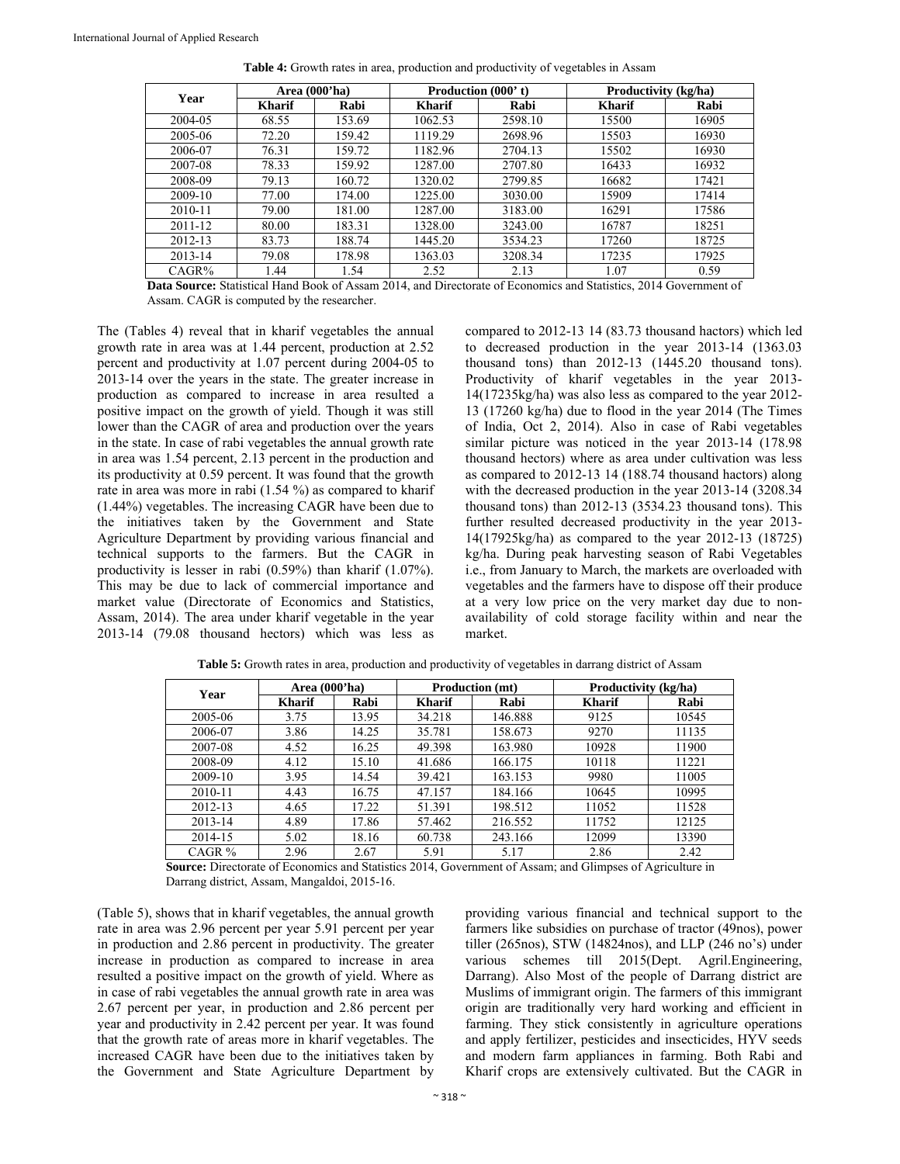| Year    | Area (000'ha) |        | <b>Production (000't)</b> |         | Productivity (kg/ha) |       |
|---------|---------------|--------|---------------------------|---------|----------------------|-------|
|         | <b>Kharif</b> | Rabi   | <b>Kharif</b>             | Rabi    | <b>Kharif</b>        | Rabi  |
| 2004-05 | 68.55         | 153.69 | 1062.53                   | 2598.10 | 15500                | 16905 |
| 2005-06 | 72.20         | 159.42 | 1119.29                   | 2698.96 | 15503                | 16930 |
| 2006-07 | 76.31         | 159.72 | 1182.96                   | 2704.13 | 15502                | 16930 |
| 2007-08 | 78.33         | 159.92 | 1287.00                   | 2707.80 | 16433                | 16932 |
| 2008-09 | 79.13         | 160.72 | 1320.02                   | 2799.85 | 16682                | 17421 |
| 2009-10 | 77.00         | 174.00 | 1225.00                   | 3030.00 | 15909                | 17414 |
| 2010-11 | 79.00         | 181.00 | 1287.00                   | 3183.00 | 16291                | 17586 |
| 2011-12 | 80.00         | 183.31 | 1328.00                   | 3243.00 | 16787                | 18251 |
| 2012-13 | 83.73         | 188.74 | 1445.20                   | 3534.23 | 17260                | 18725 |
| 2013-14 | 79.08         | 178.98 | 1363.03                   | 3208.34 | 17235                | 17925 |
| CAGR%   | .44           | 1.54   | 2.52                      | 2.13    | 1.07                 | 0.59  |

**Table 4:** Growth rates in area, production and productivity of vegetables in Assam

**Data Source:** Statistical Hand Book of Assam 2014, and Directorate of Economics and Statistics, 2014 Government of Assam. CAGR is computed by the researcher.

The (Tables 4) reveal that in kharif vegetables the annual growth rate in area was at 1.44 percent, production at 2.52 percent and productivity at 1.07 percent during 2004-05 to 2013-14 over the years in the state. The greater increase in production as compared to increase in area resulted a positive impact on the growth of yield. Though it was still lower than the CAGR of area and production over the years in the state. In case of rabi vegetables the annual growth rate in area was 1.54 percent, 2.13 percent in the production and its productivity at 0.59 percent. It was found that the growth rate in area was more in rabi (1.54 %) as compared to kharif (1.44%) vegetables. The increasing CAGR have been due to the initiatives taken by the Government and State Agriculture Department by providing various financial and technical supports to the farmers. But the CAGR in productivity is lesser in rabi (0.59%) than kharif (1.07%). This may be due to lack of commercial importance and market value (Directorate of Economics and Statistics, Assam, 2014). The area under kharif vegetable in the year 2013-14 (79.08 thousand hectors) which was less as

compared to 2012-13 14 (83.73 thousand hactors) which led to decreased production in the year 2013-14 (1363.03 thousand tons) than 2012-13 (1445.20 thousand tons). Productivity of kharif vegetables in the year 2013- 14(17235kg/ha) was also less as compared to the year 2012- 13 (17260 kg/ha) due to flood in the year 2014 (The Times of India, Oct 2, 2014). Also in case of Rabi vegetables similar picture was noticed in the year 2013-14 (178.98 thousand hectors) where as area under cultivation was less as compared to 2012-13 14 (188.74 thousand hactors) along with the decreased production in the year 2013-14 (3208.34 thousand tons) than 2012-13 (3534.23 thousand tons). This further resulted decreased productivity in the year 2013- 14(17925kg/ha) as compared to the year 2012-13 (18725) kg/ha. During peak harvesting season of Rabi Vegetables i.e., from January to March, the markets are overloaded with vegetables and the farmers have to dispose off their produce at a very low price on the very market day due to nonavailability of cold storage facility within and near the market.

| Year     | Area (000'ha) |       | <b>Production</b> (mt) |         | Productivity (kg/ha) |       |
|----------|---------------|-------|------------------------|---------|----------------------|-------|
|          | <b>Kharif</b> | Rabi  | <b>Kharif</b>          | Rabi    | <b>Kharif</b>        | Rabi  |
| 2005-06  | 3.75          | 13.95 | 34.218                 | 146.888 | 9125                 | 10545 |
| 2006-07  | 3.86          | 14.25 | 35.781                 | 158.673 | 9270                 | 11135 |
| 2007-08  | 4.52          | 16.25 | 49.398                 | 163.980 | 10928                | 11900 |
| 2008-09  | 4.12          | 15.10 | 41.686                 | 166.175 | 10118                | 11221 |
| 2009-10  | 3.95          | 14.54 | 39.421                 | 163.153 | 9980                 | 11005 |
| 2010-11  | 4.43          | 16.75 | 47.157                 | 184.166 | 10645                | 10995 |
| 2012-13  | 4.65          | 17.22 | 51.391                 | 198.512 | 11052                | 11528 |
| 2013-14  | 4.89          | 17.86 | 57.462                 | 216.552 | 11752                | 12125 |
| 2014-15  | 5.02          | 18.16 | 60.738                 | 243.166 | 12099                | 13390 |
| CAGR $%$ | 2.96          | 2.67  | 5.91                   | 5.17    | 2.86                 | 2.42  |

Table 5: Growth rates in area, production and productivity of vegetables in darrang district of Assam

**Source:** Directorate of Economics and Statistics 2014, Government of Assam; and Glimpses of Agriculture in Darrang district, Assam, Mangaldoi, 2015-16.

(Table 5), shows that in kharif vegetables, the annual growth rate in area was 2.96 percent per year 5.91 percent per year in production and 2.86 percent in productivity. The greater increase in production as compared to increase in area resulted a positive impact on the growth of yield. Where as in case of rabi vegetables the annual growth rate in area was 2.67 percent per year, in production and 2.86 percent per year and productivity in 2.42 percent per year. It was found that the growth rate of areas more in kharif vegetables. The increased CAGR have been due to the initiatives taken by the Government and State Agriculture Department by providing various financial and technical support to the farmers like subsidies on purchase of tractor (49nos), power tiller (265nos), STW (14824nos), and LLP (246 no's) under various schemes till 2015(Dept. Agril.Engineering, Darrang). Also Most of the people of Darrang district are Muslims of immigrant origin. The farmers of this immigrant origin are traditionally very hard working and efficient in farming. They stick consistently in agriculture operations and apply fertilizer, pesticides and insecticides, HYV seeds and modern farm appliances in farming. Both Rabi and Kharif crops are extensively cultivated. But the CAGR in